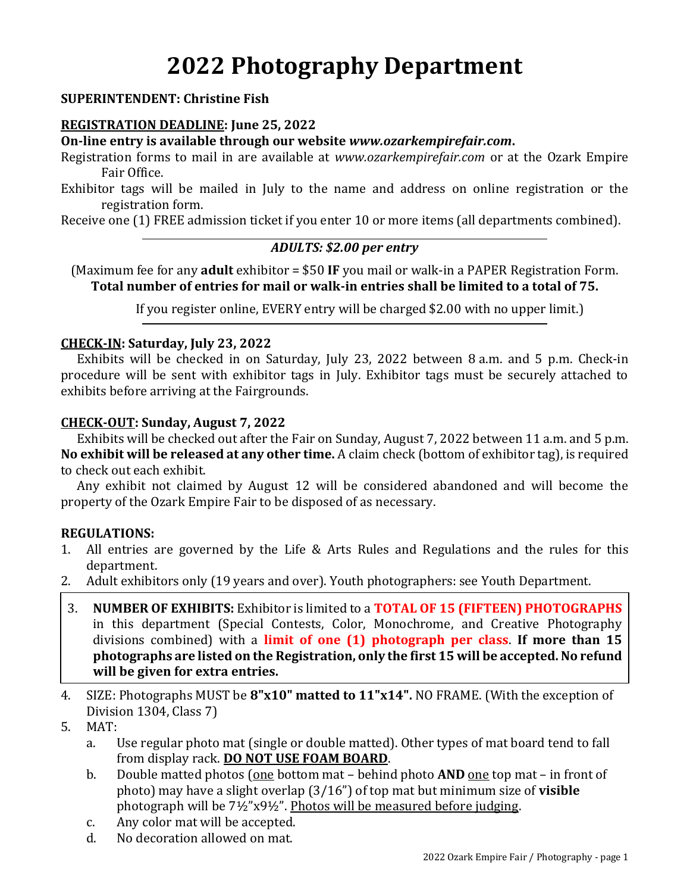# **2022 Photography Department**

## **SUPERINTENDENT: Christine Fish**

### **REGISTRATION DEADLINE: June 25, 2022**

**On-line entry is available through our website** *www.ozarkempirefair.com***.**

Registration forms to mail in are available at *www.ozarkempirefair.com* or at the Ozark Empire Fair Office.

Exhibitor tags will be mailed in July to the name and address on online registration or the registration form.

Receive one (1) FREE admission ticket if you enter 10 or more items (all departments combined).

### *ADULTS: \$2.00 per entry*

(Maximum fee for any **adult** exhibitor = \$50 **IF** you mail or walk-in a PAPER Registration Form. **Total number of entries for mail or walk-in entries shall be limited to a total of 75.**

If you register online, EVERY entry will be charged \$2.00 with no upper limit.)

#### **CHECK-IN: Saturday, July 23, 2022**

Exhibits will be checked in on Saturday, July 23, 2022 between 8 a.m. and 5 p.m. Check-in procedure will be sent with exhibitor tags in July. Exhibitor tags must be securely attached to exhibits before arriving at the Fairgrounds.

#### **CHECK-OUT: Sunday, August 7, 2022**

Exhibits will be checked out after the Fair on Sunday, August 7, 2022 between 11 a.m. and 5 p.m. **No exhibit will be released at any other time.** A claim check (bottom of exhibitor tag), is required to check out each exhibit.

Any exhibit not claimed by August 12 will be considered abandoned and will become the property of the Ozark Empire Fair to be disposed of as necessary.

## **REGULATIONS:**

- 1. All entries are governed by the Life & Arts Rules and Regulations and the rules for this department.
- 2. Adult exhibitors only (19 years and over). Youth photographers: see Youth Department.
- 3. **NUMBER OF EXHIBITS:** Exhibitor is limited to a **TOTAL OF 15 (FIFTEEN) PHOTOGRAPHS** in this department (Special Contests, Color, Monochrome, and Creative Photography divisions combined) with a **limit of one (1) photograph per class**. **If more than 15 photographs are listed on the Registration, only the first 15 will be accepted. No refund will be given for extra entries.**
- 4. SIZE: Photographs MUST be **8"x10" matted to 11"x14".** NO FRAME. (With the exception of Division 1304, Class 7)
- 5. MAT:
	- a. Use regular photo mat (single or double matted). Other types of mat board tend to fall from display rack. **DO NOT USE FOAM BOARD**.
	- b. Double matted photos (one bottom mat behind photo **AND** one top mat in front of photo) may have a slight overlap (3/16") of top mat but minimum size of **visible** photograph will be 7½"x9½". Photos will be measured before judging.
	- c. Any color mat will be accepted.
	- d. No decoration allowed on mat.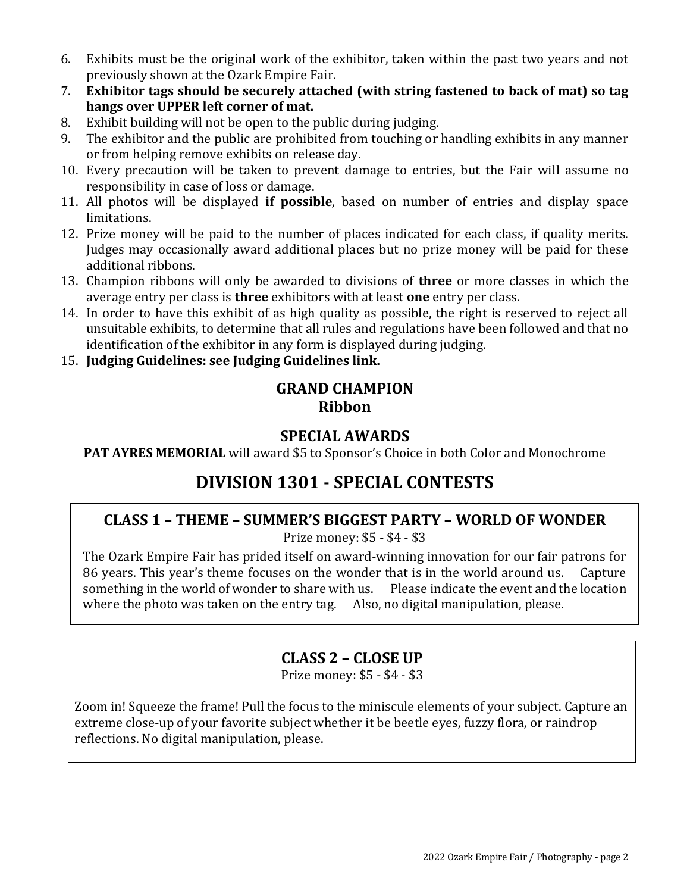- 6. Exhibits must be the original work of the exhibitor, taken within the past two years and not previously shown at the Ozark Empire Fair.
- 7. **Exhibitor tags should be securely attached (with string fastened to back of mat) so tag hangs over UPPER left corner of mat.**
- 8. Exhibit building will not be open to the public during judging.
- 9. The exhibitor and the public are prohibited from touching or handling exhibits in any manner or from helping remove exhibits on release day.
- 10. Every precaution will be taken to prevent damage to entries, but the Fair will assume no responsibility in case of loss or damage.
- 11. All photos will be displayed **if possible**, based on number of entries and display space limitations.
- 12. Prize money will be paid to the number of places indicated for each class, if quality merits. Judges may occasionally award additional places but no prize money will be paid for these additional ribbons.
- 13. Champion ribbons will only be awarded to divisions of **three** or more classes in which the average entry per class is **three** exhibitors with at least **one** entry per class.
- 14. In order to have this exhibit of as high quality as possible, the right is reserved to reject all unsuitable exhibits, to determine that all rules and regulations have been followed and that no identification of the exhibitor in any form is displayed during judging.
- 15. **Judging Guidelines: see Judging Guidelines link.**

## **GRAND CHAMPION Ribbon**

## **SPECIAL AWARDS**

**PAT AYRES MEMORIAL** will award \$5 to Sponsor's Choice in both Color and Monochrome

# **DIVISION 1301 - SPECIAL CONTESTS**

## **CLASS 1 – THEME – SUMMER'S BIGGEST PARTY – WORLD OF WONDER**

Prize money: \$5 - \$4 - \$3

The Ozark Empire Fair has prided itself on award-winning innovation for our fair patrons for 86 years. This year's theme focuses on the wonder that is in the world around us. Capture something in the world of wonder to share with us. Please indicate the event and the location where the photo was taken on the entry tag. Also, no digital manipulation, please.

## **CLASS 2 – CLOSE UP**

Prize money: \$5 - \$4 - \$3

Zoom in! Squeeze the frame! Pull the focus to the miniscule elements of your subject. Capture an extreme close-up of your favorite subject whether it be beetle eyes, fuzzy flora, or raindrop reflections. No digital manipulation, please.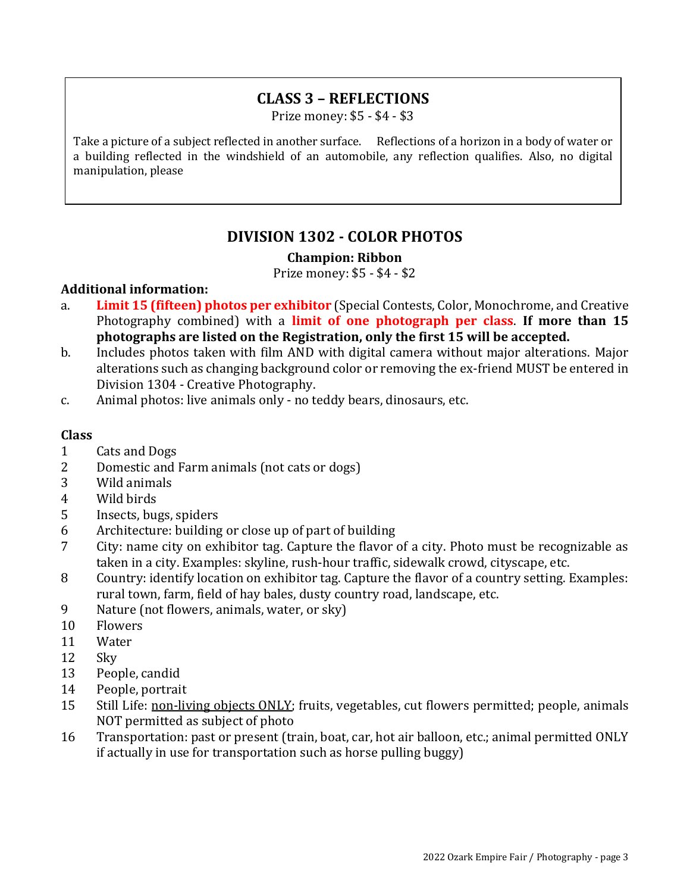## **CLASS 3 – REFLECTIONS**

Prize money: \$5 - \$4 - \$3

Take a picture of a subject reflected in another surface. Reflections of a horizon in a body of water or a building reflected in the windshield of an automobile, any reflection qualifies. Also, no digital manipulation, please

## **DIVISION 1302 - COLOR PHOTOS**

#### **Champion: Ribbon**

Prize money: \$5 - \$4 - \$2

#### **Additional information:**

- a. **Limit 15 (fifteen) photos per exhibitor** (Special Contests, Color, Monochrome, and Creative Photography combined) with a **limit of one photograph per class**. **If more than 15 photographs are listed on the Registration, only the first 15 will be accepted.**
- b. Includes photos taken with film AND with digital camera without major alterations. Major alterations such as changing background color or removing the ex-friend MUST be entered in Division 1304 - Creative Photography.
- c. Animal photos: live animals only no teddy bears, dinosaurs, etc.

#### **Class**

- 1 Cats and Dogs
- 2 Domestic and Farm animals (not cats or dogs)
- 3 Wild animals
- 4 Wild birds
- 5 Insects, bugs, spiders
- 6 Architecture: building or close up of part of building
- 7 City: name city on exhibitor tag. Capture the flavor of a city. Photo must be recognizable as taken in a city. Examples: skyline, rush-hour traffic, sidewalk crowd, cityscape, etc.
- 8 Country: identify location on exhibitor tag. Capture the flavor of a country setting. Examples: rural town, farm, field of hay bales, dusty country road, landscape, etc.
- 9 Nature (not flowers, animals, water, or sky)
- 10 Flowers
- 11 Water
- 12 Sky
- 13 People, candid
- 14 People, portrait
- 15 Still Life: non-living objects ONLY; fruits, vegetables, cut flowers permitted; people, animals NOT permitted as subject of photo
- 16 Transportation: past or present (train, boat, car, hot air balloon, etc.; animal permitted ONLY if actually in use for transportation such as horse pulling buggy)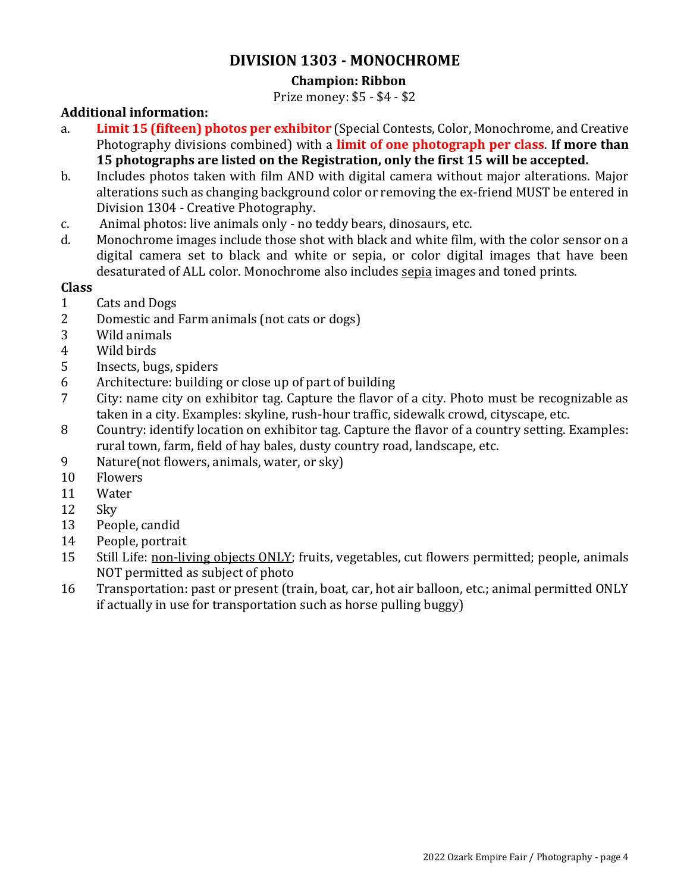## **DIVISION 1303 - MONOCHROME**

## **Champion: Ribbon**

Prize money: \$5 - \$4 - \$2

## **Additional information:**

- a. **Limit 15 (fifteen) photos per exhibitor** (Special Contests, Color, Monochrome, and Creative Photography divisions combined) with a **limit of one photograph per class**. **If more than 15 photographs are listed on the Registration, only the first 15 will be accepted.**
- b. Includes photos taken with film AND with digital camera without major alterations. Major alterations such as changing background color or removing the ex-friend MUST be entered in Division 1304 - Creative Photography.
- c. Animal photos: live animals only no teddy bears, dinosaurs, etc.
- d. Monochrome images include those shot with black and white film, with the color sensor on a digital camera set to black and white or sepia, or color digital images that have been desaturated of ALL color. Monochrome also includes sepia images and toned prints.

## **Class**

- 1 Cats and Dogs
- 2 Domestic and Farm animals (not cats or dogs)
- 3 Wild animals
- 4 Wild birds
- 5 Insects, bugs, spiders
- 6 Architecture: building or close up of part of building
- 7 City: name city on exhibitor tag. Capture the flavor of a city. Photo must be recognizable as taken in a city. Examples: skyline, rush-hour traffic, sidewalk crowd, cityscape, etc.
- 8 Country: identify location on exhibitor tag. Capture the flavor of a country setting. Examples: rural town, farm, field of hay bales, dusty country road, landscape, etc.
- 9 Nature(not flowers, animals, water, or sky)
- 10 Flowers
- 11 Water
- 12 Sky
- 13 People, candid
- 14 People, portrait
- 15 Still Life: non-living objects ONLY; fruits, vegetables, cut flowers permitted; people, animals NOT permitted as subject of photo
- 16 Transportation: past or present (train, boat, car, hot air balloon, etc.; animal permitted ONLY if actually in use for transportation such as horse pulling buggy)